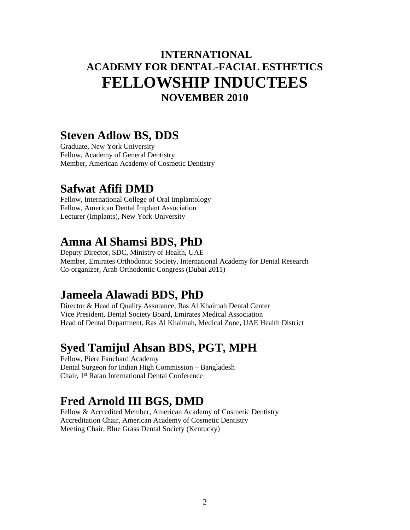### **INTERNATIONAL ACADEMY FOR DENTAL-FACIAL ESTHETICS FELLOWSHIP INDUCTEES NOVEMBER 2010**

#### **Steven Adlow BS, DDS**

Graduate, New York University Fellow, Academy of General Dentistry Member, American Academy of Cosmetic Dentistry

#### **Safwat Afifi DMD**

Fellow, International College of Oral Implantology Fellow, American Dental Implant Association Lecturer (Implants), New York University

#### **Amna Al Shamsi BDS, PhD**

Deputy Director, SDC, Ministry of Health, UAE Member, Emirates Orthodontic Society, International Academy for Dental Research Co-organizer, Arab Orthodontic Congress (Dubai 2011)

#### **Jameela Alawadi BDS, PhD**

Director & Head of Quality Assurance, Ras Al Khaimah Dental Center Vice President, Dental Society Board, Emirates Medical Association Head of Dental Department, Ras Al Khaimah, Medical Zone, UAE Health District

#### **Syed Tamijul Ahsan BDS, PGT, MPH**

Fellow, Piere Fauchard Academy Dental Surgeon for Indian High Commission – Bangladesh Chair, 1st Ratan International Dental Conference

### **Fred Arnold III BGS, DMD**

Fellow & Accredited Member, American Academy of Cosmetic Dentistry Accreditation Chair, American Academy of Cosmetic Dentistry Meeting Chair, Blue Grass Dental Society (Kentucky)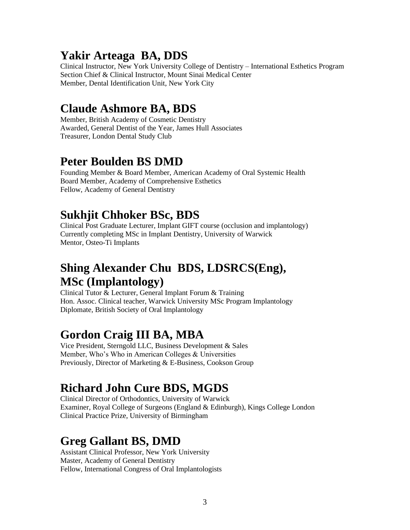## **Yakir Arteaga BA, DDS**

Clinical Instructor, New York University College of Dentistry – International Esthetics Program Section Chief & Clinical Instructor, Mount Sinai Medical Center Member, Dental Identification Unit, New York City

## **Claude Ashmore BA, BDS**

Member, British Academy of Cosmetic Dentistry Awarded, General Dentist of the Year, James Hull Associates Treasurer, London Dental Study Club

### **Peter Boulden BS DMD**

Founding Member & Board Member, American Academy of Oral Systemic Health Board Member, Academy of Comprehensive Esthetics Fellow, Academy of General Dentistry

# **Sukhjit Chhoker BSc, BDS**

Clinical Post Graduate Lecturer, Implant GIFT course (occlusion and implantology) Currently completing MSc in Implant Dentistry, University of Warwick Mentor, Osteo-Ti Implants

### **Shing Alexander Chu BDS, LDSRCS(Eng), MSc (Implantology)**

Clinical Tutor & Lecturer, General Implant Forum & Training Hon. Assoc. Clinical teacher, Warwick University MSc Program Implantology Diplomate, British Society of Oral Implantology

## **Gordon Craig III BA, MBA**

Vice President, Sterngold LLC, Business Development & Sales Member, Who's Who in American Colleges & Universities Previously, Director of Marketing & E-Business, Cookson Group

## **Richard John Cure BDS, MGDS**

Clinical Director of Orthodontics, University of Warwick Examiner, Royal College of Surgeons (England & Edinburgh), Kings College London Clinical Practice Prize, University of Birmingham

## **Greg Gallant BS, DMD**

Assistant Clinical Professor, New York University Master, Academy of General Dentistry Fellow, International Congress of Oral Implantologists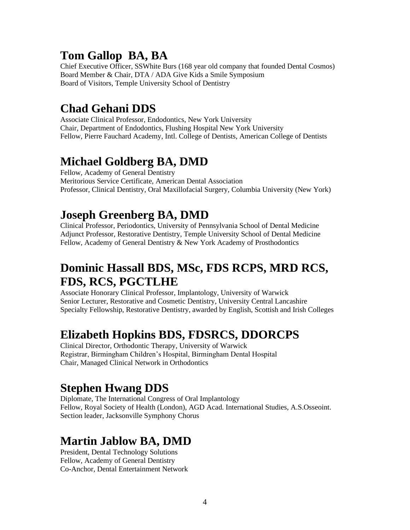## **Tom Gallop BA, BA**

Chief Executive Officer, SSWhite Burs (168 year old company that founded Dental Cosmos) Board Member & Chair, DTA / ADA Give Kids a Smile Symposium Board of Visitors, Temple University School of Dentistry

# **Chad Gehani DDS**

Associate Clinical Professor, Endodontics, New York University Chair, Department of Endodontics, Flushing Hospital New York University Fellow, Pierre Fauchard Academy, Intl. College of Dentists, American College of Dentists

# **Michael Goldberg BA, DMD**

Fellow, Academy of General Dentistry Meritorious Service Certificate, American Dental Association Professor, Clinical Dentistry, Oral Maxillofacial Surgery, Columbia University (New York)

# **Joseph Greenberg BA, DMD**

Clinical Professor, Periodontics, University of Pennsylvania School of Dental Medicine Adjunct Professor, Restorative Dentistry, Temple University School of Dental Medicine Fellow, Academy of General Dentistry & New York Academy of Prosthodontics

## **Dominic Hassall BDS, MSc, FDS RCPS, MRD RCS, FDS, RCS, PGCTLHE**

Associate Honorary Clinical Professor, Implantology, University of Warwick Senior Lecturer, Restorative and Cosmetic Dentistry, University Central Lancashire Specialty Fellowship, Restorative Dentistry, awarded by English, Scottish and Irish Colleges

# **Elizabeth Hopkins BDS, FDSRCS, DDORCPS**

Clinical Director, Orthodontic Therapy, University of Warwick Registrar, Birmingham Children's Hospital, Birmingham Dental Hospital Chair, Managed Clinical Network in Orthodontics

# **Stephen Hwang DDS**

Diplomate, The International Congress of Oral Implantology Fellow, Royal Society of Health (London), AGD Acad. International Studies, A.S.Osseoint. Section leader, Jacksonville Symphony Chorus

# **Martin Jablow BA, DMD**

President, Dental Technology Solutions Fellow, Academy of General Dentistry Co-Anchor, Dental Entertainment Network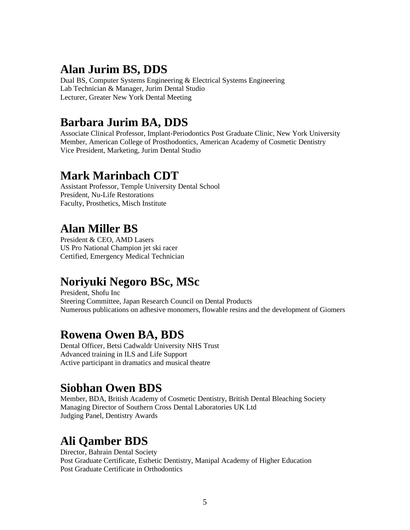### **Alan Jurim BS, DDS**

Dual BS, Computer Systems Engineering & Electrical Systems Engineering Lab Technician & Manager, Jurim Dental Studio Lecturer, Greater New York Dental Meeting

### **Barbara Jurim BA, DDS**

Associate Clinical Professor, Implant-Periodontics Post Graduate Clinic, New York University Member, American College of Prosthodontics, American Academy of Cosmetic Dentistry Vice President, Marketing, Jurim Dental Studio

#### **Mark Marinbach CDT**

Assistant Professor, Temple University Dental School President, Nu-Life Restorations Faculty, Prosthetics, Misch Institute

# **Alan Miller BS**

President & CEO, AMD Lasers US Pro National Champion jet ski racer Certified, Emergency Medical Technician

## **Noriyuki Negoro BSc, MSc**

President, Shofu Inc Steering Committee, Japan Research Council on Dental Products Numerous publications on adhesive monomers, flowable resins and the development of Giomers

### **Rowena Owen BA, BDS**

Dental Officer, Betsi Cadwaldr University NHS Trust Advanced training in ILS and Life Support Active participant in dramatics and musical theatre

### **Siobhan Owen BDS**

Member, BDA, British Academy of Cosmetic Dentistry, British Dental Bleaching Society Managing Director of Southern Cross Dental Laboratories UK Ltd Judging Panel, Dentistry Awards

## **Ali Qamber BDS**

Director, Bahrain Dental Society Post Graduate Certificate, Esthetic Dentistry, Manipal Academy of Higher Education Post Graduate Certificate in Orthodontics